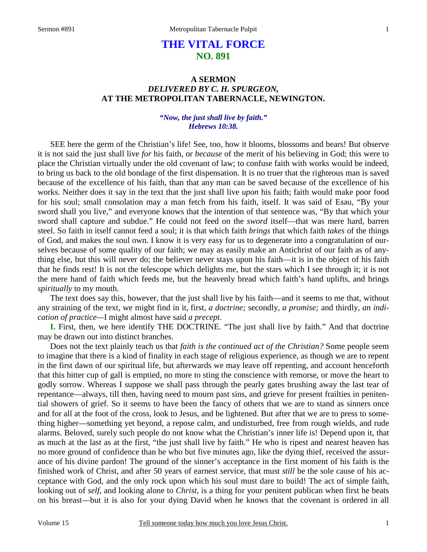# **THE VITAL FORCE NO. 891**

## **A SERMON**  *DELIVERED BY C. H. SPURGEON,*  **AT THE METROPOLITAN TABERNACLE, NEWINGTON.**

#### *"Now, the just shall live by faith." Hebrews 10:38.*

SEE here the germ of the Christian's life! See, too, how it blooms, blossoms and bears! But observe it is not said the just shall live *for* his faith, or *because* of the merit of his believing in God; this were to place the Christian virtually under the old covenant of law; to confuse faith with works would be indeed, to bring us back to the old bondage of the first dispensation. It is no truer that the righteous man is saved because of the excellence of his faith, than that any man can be saved because of the excellence of his works. Neither does it say in the text that the just shall live *upon* his faith; faith would make poor food for his soul; small consolation may a man fetch from his faith, itself. It was said of Esau, "By your sword shall you live," and everyone knows that the intention of that sentence was, "By that which your sword shall capture and subdue." He could not feed on the *sword* itself—that was mere hard, barren steel. So faith in itself cannot feed a soul; it is that which faith *brings* that which faith *takes* of the things of God, and makes the soul own. I know it is very easy for us to degenerate into a congratulation of ourselves because of some quality of our faith; we may as easily make an Antichrist of our faith as of anything else, but this will never do; the believer never stays upon his faith—it is in the object of his faith that he finds rest! It is not the telescope which delights me, but the stars which I see through it; it is not the mere hand of faith which feeds me, but the heavenly bread which faith's hand uplifts, and brings *spiritually* to my mouth.

 The text does say this, however, that the just shall live by his faith—and it seems to me that, without any straining of the text, we might find in it, first, *a doctrine;* secondly, *a promise;* and thirdly, *an indication of practice—*I might almost have said *a precept.* 

**I.** First, then, we here identify THE DOCTRINE. "The just shall live by faith." And that doctrine may be drawn out into distinct branches.

 Does not the text plainly teach us that *faith is the continued act of the Christian?* Some people seem to imagine that there is a kind of finality in each stage of religious experience, as though we are to repent in the first dawn of our spiritual life, but afterwards we may leave off repenting, and account henceforth that this bitter cup of gall is emptied, no more to sting the conscience with remorse, or move the heart to godly sorrow. Whereas I suppose we shall pass through the pearly gates brushing away the last tear of repentance—always, till then, having need to mourn past sins, and grieve for present frailties in penitential showers of grief. So it seems to have been the fancy of others that we are to stand as sinners once and for all at the foot of the cross, look to Jesus, and be lightened. But after that we are to press to something higher—something yet beyond, a repose calm, and undisturbed, free from rough wields, and rude alarms. Beloved, surely such people do not know what the Christian's inner life is! Depend upon it, that as much at the last as at the first, "the just shall live by faith." He who is ripest and nearest heaven has no more ground of confidence than he who but five minutes ago, like the dying thief, received the assurance of his divine pardon! The ground of the sinner's acceptance in the first moment of his faith is the finished work of Christ, and after 50 years of earnest service, that must *still* be the sole cause of his acceptance with God, and the only rock upon which his soul must dare to build! The act of simple faith, looking out of *self,* and looking alone to *Christ*, is a thing for your penitent publican when first he beats on his breast—but it is also for your dying David when he knows that the covenant is ordered in all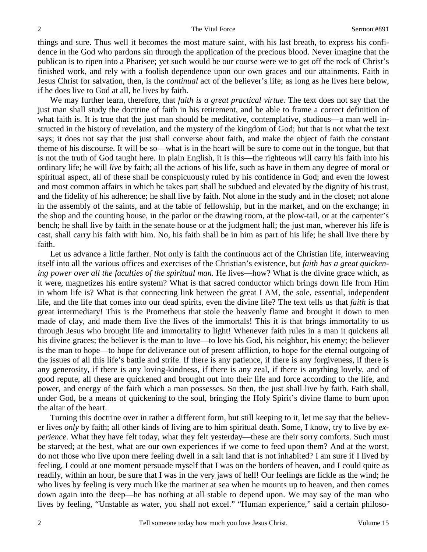things and sure. Thus well it becomes the most mature saint, with his last breath, to express his confidence in the God who pardons sin through the application of the precious blood. Never imagine that the publican is to ripen into a Pharisee; yet such would be our course were we to get off the rock of Christ's finished work, and rely with a foolish dependence upon our own graces and our attainments. Faith in Jesus Christ for salvation, then, is the *continual* act of the believer's life; as long as he lives here below, if he does live to God at all, he lives by faith.

 We may further learn, therefore, that *faith is a great practical virtue.* The text does not say that the just man shall study the doctrine of faith in his retirement, and be able to frame a correct definition of what faith is. It is true that the just man should be meditative, contemplative, studious—a man well instructed in the history of revelation, and the mystery of the kingdom of God; but that is not what the text says; it does not say that the just shall converse about faith, and make the object of faith the constant theme of his discourse. It will be so—what is in the heart will be sure to come out in the tongue, but that is not the truth of God taught here. In plain English, it is this—the righteous will carry his faith into his ordinary life; he will *live* by faith; all the actions of his life, such as have in them any degree of moral or spiritual aspect, all of these shall be conspicuously ruled by his confidence in God; and even the lowest and most common affairs in which he takes part shall be subdued and elevated by the dignity of his trust, and the fidelity of his adherence; he shall live by faith. Not alone in the study and in the closet; not alone in the assembly of the saints, and at the table of fellowship, but in the market, and on the exchange; in the shop and the counting house, in the parlor or the drawing room, at the plow-tail, or at the carpenter's bench; he shall live by faith in the senate house or at the judgment hall; the just man, wherever his life is cast, shall carry his faith with him. No, his faith shall be in him as part of his life; he shall live there by faith.

 Let us advance a little farther. Not only is faith the continuous act of the Christian life, interweaving itself into all the various offices and exercises of the Christian's existence, but *faith has a great quickening power over all the faculties of the spiritual man.* He lives—how? What is the divine grace which, as it were, magnetizes his entire system? What is that sacred conductor which brings down life from Him in whom life is? What is that connecting link between the great I AM, the sole, essential, independent life, and the life that comes into our dead spirits, even the divine life? The text tells us that *faith* is that great intermediary! This is the Prometheus that stole the heavenly flame and brought it down to men made of clay, and made them live the lives of the immortals! This it is that brings immortality to us through Jesus who brought life and immortality to light! Whenever faith rules in a man it quickens all his divine graces; the believer is the man to love—to love his God, his neighbor, his enemy; the believer is the man to hope—to hope for deliverance out of present affliction, to hope for the eternal outgoing of the issues of all this life's battle and strife. If there is any patience, if there is any forgiveness, if there is any generosity, if there is any loving-kindness, if there is any zeal, if there is anything lovely, and of good repute, all these are quickened and brought out into their life and force according to the life, and power, and energy of the faith which a man possesses. So then, the just shall live by faith. Faith shall, under God, be a means of quickening to the soul, bringing the Holy Spirit's divine flame to burn upon the altar of the heart.

 Turning this doctrine over in rather a different form, but still keeping to it, let me say that the believer lives *only* by faith; all other kinds of living are to him spiritual death. Some, I know, try to live by *experience*. What they have felt today, what they felt yesterday—these are their sorry comforts. Such must be starved; at the best, what are our own experiences if we come to feed upon them? And at the worst, do not those who live upon mere feeling dwell in a salt land that is not inhabited? I am sure if I lived by feeling, I could at one moment persuade myself that I was on the borders of heaven, and I could quite as readily, within an hour, be sure that I was in the very jaws of hell! Our feelings are fickle as the wind; he who lives by feeling is very much like the mariner at sea when he mounts up to heaven, and then comes down again into the deep—he has nothing at all stable to depend upon. We may say of the man who lives by feeling, "Unstable as water, you shall not excel." "Human experience," said a certain philoso-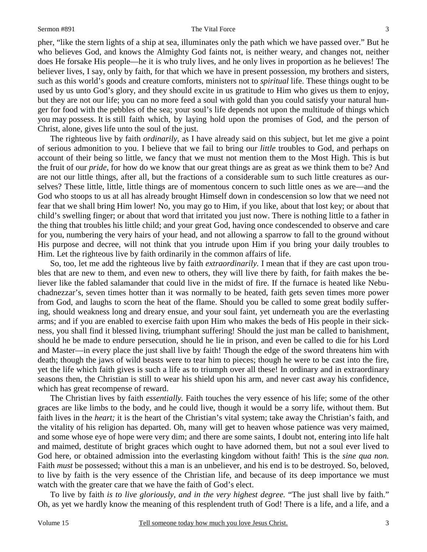#### Sermon #891 The Vital Force

pher, "like the stern lights of a ship at sea, illuminates only the path which we have passed over." But he who believes God, and knows the Almighty God faints not, is neither weary, and changes not, neither does He forsake His people—he it is who truly lives, and he only lives in proportion as he believes! The believer lives, I say, only by faith, for that which we have in present possession, my brothers and sisters, such as this world's goods and creature comforts, ministers not to *spiritual* life. These things ought to be used by us unto God's glory, and they should excite in us gratitude to Him who gives us them to enjoy, but they are not our life; you can no more feed a soul with gold than you could satisfy your natural hunger for food with the pebbles of the sea; your soul's life depends not upon the multitude of things which you may possess. It is still faith which, by laying hold upon the promises of God, and the person of Christ, alone, gives life unto the soul of the just.

 The righteous live by faith *ordinarily,* as I have already said on this subject, but let me give a point of serious admonition to you. I believe that we fail to bring our *little* troubles to God, and perhaps on account of their being so little, we fancy that we must not mention them to the Most High. This is but the fruit of our *pride*, for how do we know that our great things are as great as we think them to be? And are not our little things, after all, but the fractions of a considerable sum to such little creatures as ourselves? These little, little, little things are of momentous concern to such little ones as we are—and the God who stoops to us at all has already brought Himself down in condescension so low that we need not fear that we shall bring Him lower! No, you may go to Him, if you like, about that lost key; or about that child's swelling finger; or about that word that irritated you just now. There is nothing little to a father in the thing that troubles his little child; and your great God, having once condescended to observe and care for you, numbering the very hairs of your head, and not allowing a sparrow to fall to the ground without His purpose and decree, will not think that you intrude upon Him if you bring your daily troubles to Him. Let the righteous live by faith ordinarily in the common affairs of life.

 So, too, let me add the righteous live by faith *extraordinarily.* I mean that if they are cast upon troubles that are new to them, and even new to others, they will live there by faith, for faith makes the believer like the fabled salamander that could live in the midst of fire. If the furnace is heated like Nebuchadnezzar's, seven times hotter than it was normally to be heated, faith gets seven times more power from God, and laughs to scorn the heat of the flame. Should you be called to some great bodily suffering, should weakness long and dreary ensue, and your soul faint, yet underneath you are the everlasting arms; and if you are enabled to exercise faith upon Him who makes the beds of His people in their sickness, you shall find it blessed living, triumphant suffering! Should the just man be called to banishment, should he be made to endure persecution, should he lie in prison, and even be called to die for his Lord and Master—in every place the just shall live by faith! Though the edge of the sword threatens him with death; though the jaws of wild beasts were to tear him to pieces; though he were to be cast into the fire, yet the life which faith gives is such a life as to triumph over all these! In ordinary and in extraordinary seasons then, the Christian is still to wear his shield upon his arm, and never cast away his confidence, which has great recompense of reward.

 The Christian lives by faith *essentially.* Faith touches the very essence of his life; some of the other graces are like limbs to the body, and he could live, though it would be a sorry life, without them. But faith lives in the *heart;* it is the heart of the Christian's vital system; take away the Christian's faith, and the vitality of his religion has departed. Oh, many will get to heaven whose patience was very maimed, and some whose eye of hope were very dim; and there are some saints, I doubt not, entering into life halt and maimed, destitute of bright graces which ought to have adorned them, but not a soul ever lived to God here, or obtained admission into the everlasting kingdom without faith! This is the *sine qua non.*  Faith *must* be possessed; without this a man is an unbeliever, and his end is to be destroyed. So, beloved, to live by faith is the very essence of the Christian life, and because of its deep importance we must watch with the greater care that we have the faith of God's elect.

 To live by faith *is to live gloriously, and in the very highest degree.* "The just shall live by faith." Oh, as yet we hardly know the meaning of this resplendent truth of God! There is a life, and a life, and a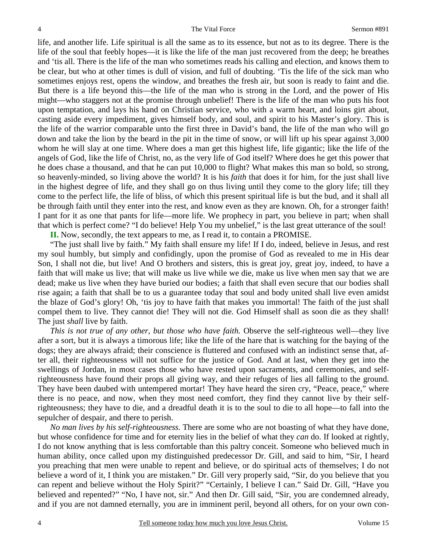life, and another life. Life spiritual is all the same as to its essence, but not as to its degree. There is the life of the soul that feebly hopes—it is like the life of the man just recovered from the deep; he breathes and 'tis all. There is the life of the man who sometimes reads his calling and election, and knows them to be clear, but who at other times is dull of vision, and full of doubting. 'Tis the life of the sick man who sometimes enjoys rest, opens the window, and breathes the fresh air, but soon is ready to faint and die. But there is a life beyond this—the life of the man who is strong in the Lord, and the power of His might—who staggers not at the promise through unbelief! There is the life of the man who puts his foot upon temptation, and lays his hand on Christian service, who with a warm heart, and loins girt about, casting aside every impediment, gives himself body, and soul, and spirit to his Master's glory. This is the life of the warrior comparable unto the first three in David's band, the life of the man who will go down and take the lion by the beard in the pit in the time of snow, or will lift up his spear against 3,000 whom he will slay at one time. Where does a man get this highest life, life gigantic; like the life of the angels of God, like the life of Christ, no, as the very life of God itself? Where does he get this power that he does chase a thousand, and that he can put 10,000 to flight? What makes this man so bold, so strong, so heavenly-minded, so living above the world? It is his *faith* that does it for him, for the just shall live in the highest degree of life, and they shall go on thus living until they come to the glory life; till they come to the perfect life, the life of bliss, of which this present spiritual life is but the bud, and it shall all be through faith until they enter into the rest, and know even as they are known. Oh, for a stronger faith! I pant for it as one that pants for life—more life. We prophecy in part, you believe in part; when shall that which is perfect come? "I do believe! Help You my unbelief," is the last great utterance of the soul!

**II.** Now, secondly, the text appears to me, as I read it, to contain a PROMISE.

 "The just shall live by faith." My faith shall ensure my life! If I do, indeed, believe in Jesus, and rest my soul humbly, but simply and confidingly, upon the promise of God as revealed to me in His dear Son, I shall not die, but live! And O brothers and sisters, this is great joy, great joy, indeed, to have a faith that will make us live; that will make us live while we die, make us live when men say that we are dead; make us live when they have buried our bodies; a faith that shall even secure that our bodies shall rise again; a faith that shall be to us a guarantee today that soul and body united shall live even amidst the blaze of God's glory! Oh, 'tis joy to have faith that makes you immortal! The faith of the just shall compel them to live. They cannot die! They will not die. God Himself shall as soon die as they shall! The just *shall* live by faith.

*This is not true of any other, but those who have faith.* Observe the self-righteous well—they live after a sort, but it is always a timorous life; like the life of the hare that is watching for the baying of the dogs; they are always afraid; their conscience is fluttered and confused with an indistinct sense that, after all, their righteousness will not suffice for the justice of God. And at last, when they get into the swellings of Jordan, in most cases those who have rested upon sacraments, and ceremonies, and selfrighteousness have found their props all giving way, and their refuges of lies all falling to the ground. They have been daubed with untempered mortar! They have heard the siren cry, "Peace, peace," where there is no peace, and now, when they most need comfort, they find they cannot live by their selfrighteousness; they have to die, and a dreadful death it is to the soul to die to all hope—to fall into the sepulcher of despair, and there to perish.

*No man lives by his self-righteousness.* There are some who are not boasting of what they have done, but whose confidence for time and for eternity lies in the belief of what they *can* do. If looked at rightly, I do not know anything that is less comfortable than this paltry conceit. Someone who believed much in human ability, once called upon my distinguished predecessor Dr. Gill, and said to him, "Sir, I heard you preaching that men were unable to repent and believe, or do spiritual acts of themselves; I do not believe a word of it, I think you are mistaken." Dr. Gill very properly said, "Sir, do you believe that you can repent and believe without the Holy Spirit?" "Certainly, I believe I can." Said Dr. Gill, "Have you believed and repented?" "No, I have not, sir." And then Dr. Gill said, "Sir, you are condemned already, and if you are not damned eternally, you are in imminent peril, beyond all others, for on your own con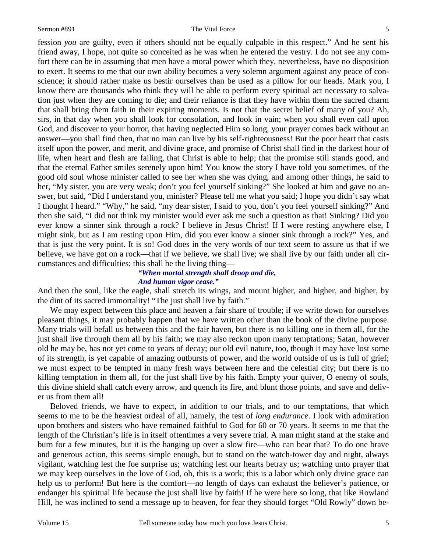fession *you* are guilty, even if others should not be equally culpable in this respect." And he sent his friend away, I hope, not quite so conceited as he was when he entered the vestry. I do not see any comfort there can be in assuming that men have a moral power which they, nevertheless, have no disposition to exert. It seems to me that our own ability becomes a very solemn argument against any peace of conscience; it should rather make us bestir ourselves than be used as a pillow for our heads. Mark you, I know there are thousands who think they will be able to perform every spiritual act necessary to salvation just when they are coming to die; and their reliance is that they have within them the sacred charm that shall bring them faith in their expiring moments. Is not that the secret belief of many of you? Ah, sirs, in that day when you shall look for consolation, and look in vain; when you shall even call upon God, and discover to your horror, that having neglected Him so long, your prayer comes back without an answer—you shall find then, that no man can live by his self-righteousness! But the poor heart that casts itself upon the power, and merit, and divine grace, and promise of Christ shall find in the darkest hour of life, when heart and flesh are failing, that Christ is able to help; that the promise still stands good, and that the eternal Father smiles serenely upon him! You know the story I have told you sometimes, of the good old soul whose minister called to see her when she was dying, and among other things, he said to her, "My sister, you are very weak; don't you feel yourself sinking?" She looked at him and gave no answer, but said, "Did I understand you, minister? Please tell me what you said; I hope you didn't say what I thought I heard." "Why," he said, "my dear sister, I said to you, don't you feel yourself sinking?" And then she said, "I did not think my minister would ever ask me such a question as that! Sinking? Did you ever know a sinner sink through a rock? I believe in Jesus Christ! If I were resting anywhere else, I might sink, but as I am resting upon Him, did you ever know a sinner sink through a rock?" Yes, and that is just the very point. It is so! God does in the very words of our text seem to assure us that if we believe, we have got on a rock—that if we believe, we shall live; we shall live by our faith under all circumstances and difficulties; this shall be the living thing—

## *"When mortal strength shall droop and die, And human vigor cease."*

And then the soul, like the eagle, shall stretch its wings, and mount higher, and higher, and higher, by the dint of its sacred immortality! "The just shall live by faith."

 We may expect between this place and heaven a fair share of trouble; if we write down for ourselves pleasant things, it may probably happen that we have written other than the book of the divine purpose. Many trials will befall us between this and the fair haven, but there is no killing one in them all, for the just shall live through them all by his faith; we may also reckon upon many temptations; Satan, however old he may be, has not yet come to years of decay; our old evil nature, too, though it may have lost some of its strength, is yet capable of amazing outbursts of power, and the world outside of us is full of grief; we must expect to be tempted in many fresh ways between here and the celestial city; but there is no killing temptation in them all, for the just shall live by his faith. Empty your quiver, O enemy of souls, this divine shield shall catch every arrow, and quench its fire, and blunt those points, and save and deliver us from them all!

 Beloved friends, we have to expect, in addition to our trials, and to our temptations, that which seems to me to be the heaviest ordeal of all, namely, the test of *long endurance*. I look with admiration upon brothers and sisters who have remained faithful to God for 60 or 70 years. It seems to me that the length of the Christian's life is in itself oftentimes a very severe trial. A man might stand at the stake and burn for a few minutes, but it is the hanging up over a slow fire—who can bear that? To do one brave and generous action, this seems simple enough, but to stand on the watch-tower day and night, always vigilant, watching lest the foe surprise us; watching lest our hearts betray us; watching unto prayer that we may keep ourselves in the love of God, oh, this is a work; this is a labor which only divine grace can help us to perform! But here is the comfort—no length of days can exhaust the believer's patience, or endanger his spiritual life because the just shall live by faith! If he were here so long, that like Rowland Hill, he was inclined to send a message up to heaven, for fear they should forget "Old Rowly" down be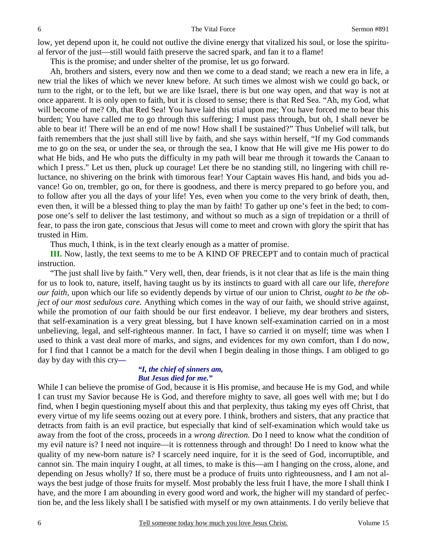low, yet depend upon it, he could not outlive the divine energy that vitalized his soul, or lose the spiritual fervor of the just—still would faith preserve the sacred spark, and fan it to a flame!

This is the promise; and under shelter of the promise, let us go forward.

 Ah, brothers and sisters, every now and then we come to a dead stand; we reach a new era in life, a new trial the likes of which we never knew before. At such times we almost wish we could go back, or turn to the right, or to the left, but we are like Israel, there is but one way open, and that way is not at once apparent. It is only open to faith, but it is closed to sense; there is that Red Sea. "Ah, my God, what will become of me? Oh, that Red Sea! You have laid this trial upon me; You have forced me to bear this burden; You have called me to go through this suffering; I must pass through, but oh, I shall never be able to bear it! There will be an end of me now! How shall I be sustained?" Thus Unbelief will talk, but faith remembers that the just shall still live by faith, and she says within herself, "If my God commands me to go on the sea, or under the sea, or through the sea, I know that He will give me His power to do what He bids, and He who puts the difficulty in my path will bear me through it towards the Canaan to which I press." Let us then, pluck up courage! Let there be no standing still, no lingering with chill reluctance, no shivering on the brink with timorous fear! Your Captain waves His hand, and bids you advance! Go on, trembler, go on, for there is goodness, and there is mercy prepared to go before you, and to follow after you all the days of your life! Yes, even when you come to the very brink of death, then, even then, it will be a blessed thing to play the man by faith! To gather up one's feet in the bed; to compose one's self to deliver the last testimony, and without so much as a sign of trepidation or a thrill of fear, to pass the iron gate, conscious that Jesus will come to meet and crown with glory the spirit that has trusted in Him.

Thus much, I think, is in the text clearly enough as a matter of promise.

**III.** Now, lastly, the text seems to me to be A KIND OF PRECEPT and to contain much of practical instruction.

 "The just shall live by faith." Very well, then, dear friends, is it not clear that as life is the main thing for us to look to, nature, itself, having taught us by its instincts to guard with all care our life, *therefore our faith,* upon which our life so evidently depends by virtue of our union to Christ, *ought to be the object of our most sedulous care.* Anything which comes in the way of our faith, we should strive against, while the promotion of our faith should be our first endeavor. I believe, my dear brothers and sisters, that self-examination is a very great blessing, but I have known self-examination carried on in a most unbelieving, legal, and self-righteous manner. In fact, I have so carried it on myself; time was when I used to think a vast deal more of marks, and signs, and evidences for my own comfort, than I do now, for I find that I cannot be a match for the devil when I begin dealing in those things. I am obliged to go day by day with this cry*—* 

#### *"I, the chief of sinners am, But Jesus died for me."*

While I can believe the promise of God, because it is His promise, and because He is my God, and while I can trust my Savior because He is God, and therefore mighty to save, all goes well with me; but I do find, when I begin questioning myself about this and that perplexity, thus taking my eyes off Christ, that every virtue of my life seems oozing out at every pore. I think, brothers and sisters, that any practice that detracts from faith is an evil practice, but especially that kind of self-examination which would take us away from the foot of the cross, proceeds in a *wrong direction.* Do I need to know what the condition of my evil nature is? I need not inquire—it is rottenness through and through! Do I need to know what the quality of my new-born nature is? I scarcely need inquire, for it is the seed of God, incorruptible, and cannot sin. The main inquiry I ought, at all times, to make is this—am I hanging on the cross, alone, and depending on Jesus wholly? If so, there must be a produce of fruits unto righteousness, and I am not always the best judge of those fruits for myself. Most probably the less fruit I have, the more I shall think I have, and the more I am abounding in every good word and work, the higher will my standard of perfection be, and the less likely shall I be satisfied with myself or my own attainments. I do verily believe that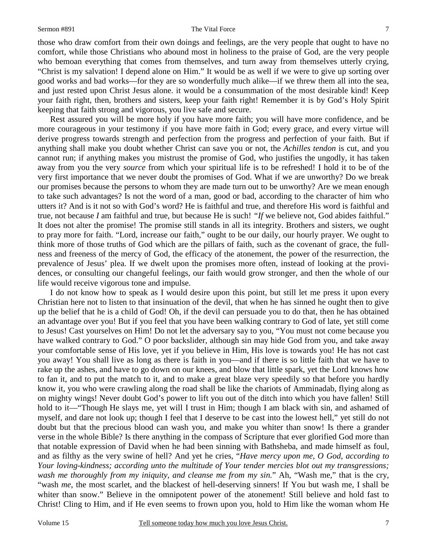#### Sermon #891 The Vital Force

those who draw comfort from their own doings and feelings, are the very people that ought to have no comfort, while those Christians who abound most in holiness to the praise of God, are the very people who bemoan everything that comes from themselves, and turn away from themselves utterly crying, "Christ is my salvation! I depend alone on Him." It would be as well if we were to give up sorting over good works and bad works—for they are so wonderfully much alike—if we threw them all into the sea, and just rested upon Christ Jesus alone. it would be a consummation of the most desirable kind! Keep your faith right, then, brothers and sisters, keep your faith right! Remember it is by God's Holy Spirit keeping that faith strong and vigorous, you live safe and secure.

 Rest assured you will be more holy if you have more faith; you will have more confidence, and be more courageous in your testimony if you have more faith in God; every grace, and every virtue will derive progress towards strength and perfection from the progress and perfection of your faith. But if anything shall make you doubt whether Christ can save you or not, the *Achilles tendon* is cut, and you cannot run; if anything makes you mistrust the promise of God, who justifies the ungodly, it has taken away from you the very *source* from which your spiritual life is to be refreshed! I hold it to be of the very first importance that we never doubt the promises of God. What if we are unworthy? Do we break our promises because the persons to whom they are made turn out to be unworthy? Are we mean enough to take such advantages? Is not the word of a man, good or bad, according to the character of him who utters it? And is it not so with God's word? He is faithful and true, and therefore His word is faithful and true, not because *I* am faithful and true, but because He is such! *"If* we believe not, God abides faithful." It does not alter the promise! The promise still stands in all its integrity. Brothers and sisters, we ought to pray more for faith. "Lord, increase our faith," ought to be our daily, our hourly prayer. We ought to think more of those truths of God which are the pillars of faith, such as the covenant of grace, the fullness and freeness of the mercy of God, the efficacy of the atonement, the power of the resurrection, the prevalence of Jesus' plea. If we dwelt upon the promises more often, instead of looking at the providences, or consulting our changeful feelings, our faith would grow stronger, and then the whole of our life would receive vigorous tone and impulse.

 I do not know how to speak as I would desire upon this point, but still let me press it upon every Christian here not to listen to that insinuation of the devil, that when he has sinned he ought then to give up the belief that he is a child of God! Oh, if the devil can persuade you to do that, then he has obtained an advantage over you! But if you feel that you have been walking contrary to God of late, yet still come to Jesus! Cast yourselves on Him! Do not let the adversary say to you, "You must not come because you have walked contrary to God." O poor backslider, although sin may hide God from you, and take away your comfortable sense of His love, yet if you believe in Him, His love is towards you! He has not cast you away! You shall live as long as there is faith in you—and if there is so little faith that we have to rake up the ashes, and have to go down on our knees, and blow that little spark, yet the Lord knows how to fan it, and to put the match to it, and to make a great blaze very speedily so that before you hardly know it, you who were crawling along the road shall be like the chariots of Amminadab, flying along as on mighty wings! Never doubt God's power to lift you out of the ditch into which you have fallen! Still hold to it—"Though He slays me, yet will I trust in Him; though I am black with sin, and ashamed of myself, and dare not look up; though I feel that I deserve to be cast into the lowest hell," yet still do not doubt but that the precious blood can wash you, and make you whiter than snow! Is there a grander verse in the whole Bible? Is there anything in the compass of Scripture that ever glorified God more than that notable expression of David when he had been sinning with Bathsheba, and made himself as foul, and as filthy as the very swine of hell? And yet he cries, "*Have mercy upon me, O God, according to Your loving-kindness; according unto the multitude of Your tender mercies blot out my transgressions; wash me thoroughly from my iniquity, and cleanse me from my sin.*" Ah, "Wash me," that is the cry, "wash *me*, the most scarlet, and the blackest of hell-deserving sinners! If You but wash me, I shall be whiter than snow." Believe in the omnipotent power of the atonement! Still believe and hold fast to Christ! Cling to Him, and if He even seems to frown upon you, hold to Him like the woman whom He